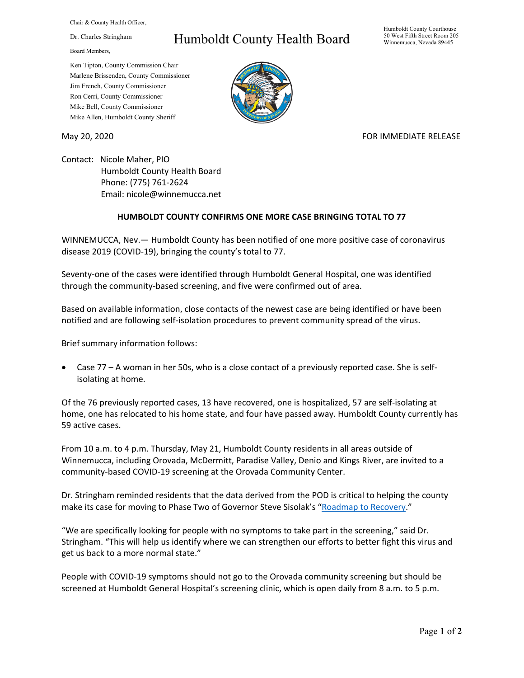Chair & County Health Officer,

Dr. Charles Stringham

Board Members,

## Humboldt County Health Board

Humboldt County Courthouse 50 West Fifth Street Room 205 Winnemucca, Nevada 89445

Ken Tipton, County Commission Chair Marlene Brissenden, County Commissioner Jim French, County Commissioner Ron Cerri, County Commissioner Mike Bell, County Commissioner Mike Allen, Humboldt County Sheriff

## May 20, 2020 FOR IMMEDIATE RELEASE

Contact: Nicole Maher, PIO Humboldt County Health Board Phone: (775) 761-2624 Email: nicole@winnemucca.net

## **HUMBOLDT COUNTY CONFIRMS ONE MORE CASE BRINGING TOTAL TO 77**

WINNEMUCCA, Nev.— Humboldt County has been notified of one more positive case of coronavirus disease 2019 (COVID-19), bringing the county's total to 77.

Seventy-one of the cases were identified through Humboldt General Hospital, one was identified through the community-based screening, and five were confirmed out of area.

Based on available information, close contacts of the newest case are being identified or have been notified and are following self-isolation procedures to prevent community spread of the virus.

Brief summary information follows:

• Case 77 – A woman in her 50s, who is a close contact of a previously reported case. She is selfisolating at home.

Of the 76 previously reported cases, 13 have recovered, one is hospitalized, 57 are self-isolating at home, one has relocated to his home state, and four have passed away. Humboldt County currently has 59 active cases.

From 10 a.m. to 4 p.m. Thursday, May 21, Humboldt County residents in all areas outside of Winnemucca, including Orovada, McDermitt, Paradise Valley, Denio and Kings River, are invited to a community-based COVID-19 screening at the Orovada Community Center.

Dr. Stringham reminded residents that the data derived from the POD is critical to helping the county make its case for moving to Phase Two of Governor Steve Sisolak's ["Roadmap to Recovery."](https://nvhealthresponse.nv.gov/wp-content/uploads/2020/05/Roadmap-to-Recovery-Phase-One-Initial-Guidance.pdf?utm_medium=email&utm_source=govdelivery)

"We are specifically looking for people with no symptoms to take part in the screening," said Dr. Stringham. "This will help us identify where we can strengthen our efforts to better fight this virus and get us back to a more normal state."

People with COVID-19 symptoms should not go to the Orovada community screening but should be screened at Humboldt General Hospital's screening clinic, which is open daily from 8 a.m. to 5 p.m.